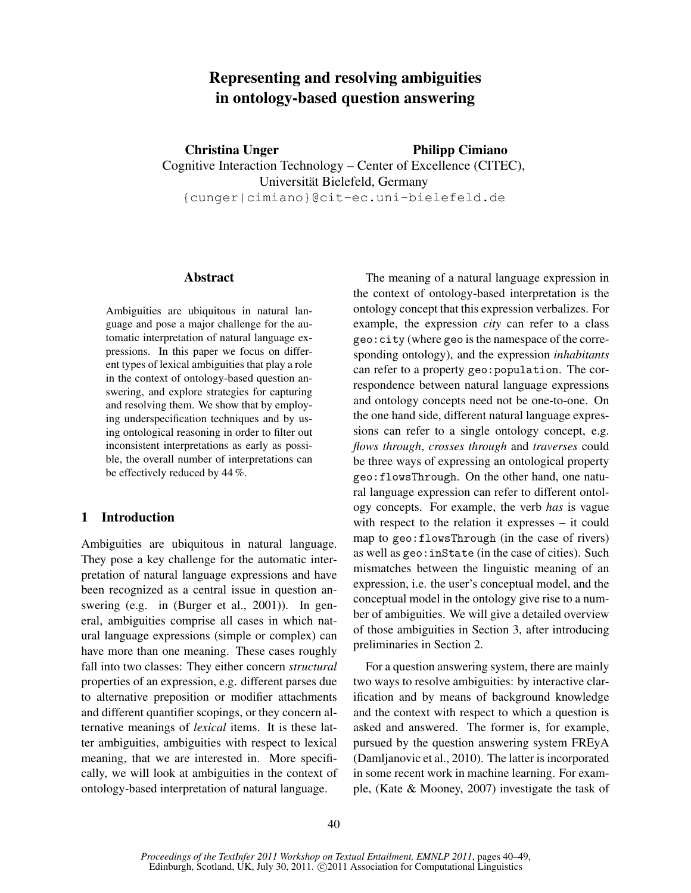# Representing and resolving ambiguities in ontology-based question answering

Christina Unger Cognitive Interaction Technology – Center of Excellence (CITEC), Universität Bielefeld, Germany {cunger|cimiano}@cit-ec.uni-bielefeld.de Philipp Cimiano

### Abstract

Ambiguities are ubiquitous in natural language and pose a major challenge for the automatic interpretation of natural language expressions. In this paper we focus on different types of lexical ambiguities that play a role in the context of ontology-based question answering, and explore strategies for capturing and resolving them. We show that by employing underspecification techniques and by using ontological reasoning in order to filter out inconsistent interpretations as early as possible, the overall number of interpretations can be effectively reduced by 44 %.

# 1 Introduction

Ambiguities are ubiquitous in natural language. They pose a key challenge for the automatic interpretation of natural language expressions and have been recognized as a central issue in question answering (e.g. in (Burger et al., 2001)). In general, ambiguities comprise all cases in which natural language expressions (simple or complex) can have more than one meaning. These cases roughly fall into two classes: They either concern *structural* properties of an expression, e.g. different parses due to alternative preposition or modifier attachments and different quantifier scopings, or they concern alternative meanings of *lexical* items. It is these latter ambiguities, ambiguities with respect to lexical meaning, that we are interested in. More specifically, we will look at ambiguities in the context of ontology-based interpretation of natural language.

The meaning of a natural language expression in the context of ontology-based interpretation is the ontology concept that this expression verbalizes. For example, the expression *city* can refer to a class geo:city (where geo is the namespace of the corresponding ontology), and the expression *inhabitants* can refer to a property geo:population. The correspondence between natural language expressions and ontology concepts need not be one-to-one. On the one hand side, different natural language expressions can refer to a single ontology concept, e.g. *flows through*, *crosses through* and *traverses* could be three ways of expressing an ontological property geo:flowsThrough. On the other hand, one natural language expression can refer to different ontology concepts. For example, the verb *has* is vague with respect to the relation it expresses – it could map to geo:flowsThrough (in the case of rivers) as well as geo:inState (in the case of cities). Such mismatches between the linguistic meaning of an expression, i.e. the user's conceptual model, and the conceptual model in the ontology give rise to a number of ambiguities. We will give a detailed overview of those ambiguities in Section 3, after introducing preliminaries in Section 2.

For a question answering system, there are mainly two ways to resolve ambiguities: by interactive clarification and by means of background knowledge and the context with respect to which a question is asked and answered. The former is, for example, pursued by the question answering system FREyA (Damljanovic et al., 2010). The latter is incorporated in some recent work in machine learning. For example, (Kate & Mooney, 2007) investigate the task of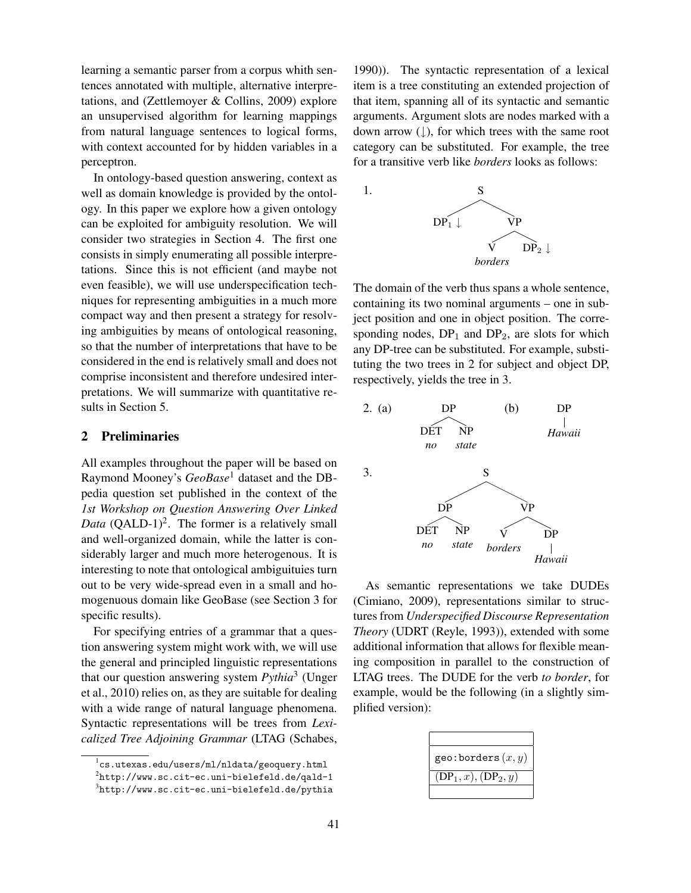learning a semantic parser from a corpus whith sentences annotated with multiple, alternative interpretations, and (Zettlemoyer & Collins, 2009) explore an unsupervised algorithm for learning mappings from natural language sentences to logical forms, with context accounted for by hidden variables in a perceptron.

In ontology-based question answering, context as well as domain knowledge is provided by the ontology. In this paper we explore how a given ontology can be exploited for ambiguity resolution. We will consider two strategies in Section 4. The first one consists in simply enumerating all possible interpretations. Since this is not efficient (and maybe not even feasible), we will use underspecification techniques for representing ambiguities in a much more compact way and then present a strategy for resolving ambiguities by means of ontological reasoning, so that the number of interpretations that have to be considered in the end is relatively small and does not comprise inconsistent and therefore undesired interpretations. We will summarize with quantitative results in Section 5.

#### 2 Preliminaries

All examples throughout the paper will be based on Raymond Mooney's *GeoBase*<sup>1</sup> dataset and the DBpedia question set published in the context of the *1st Workshop on Question Answering Over Linked Data* (QALD-1)<sup>2</sup>. The former is a relatively small and well-organized domain, while the latter is considerably larger and much more heterogenous. It is interesting to note that ontological ambiguituies turn out to be very wide-spread even in a small and homogenuous domain like GeoBase (see Section 3 for specific results).

For specifying entries of a grammar that a question answering system might work with, we will use the general and principled linguistic representations that our question answering system *Pythia*<sup>3</sup> (Unger et al., 2010) relies on, as they are suitable for dealing with a wide range of natural language phenomena. Syntactic representations will be trees from *Lexicalized Tree Adjoining Grammar* (LTAG (Schabes,

1990)). The syntactic representation of a lexical item is a tree constituting an extended projection of that item, spanning all of its syntactic and semantic arguments. Argument slots are nodes marked with a down arrow  $( \downarrow )$ , for which trees with the same root category can be substituted. For example, the tree for a transitive verb like *borders* looks as follows:



The domain of the verb thus spans a whole sentence, containing its two nominal arguments – one in subject position and one in object position. The corresponding nodes,  $DP_1$  and  $DP_2$ , are slots for which any DP-tree can be substituted. For example, substituting the two trees in 2 for subject and object DP, respectively, yields the tree in 3.



As semantic representations we take DUDEs (Cimiano, 2009), representations similar to structures from *Underspecified Discourse Representation Theory* (UDRT (Reyle, 1993)), extended with some additional information that allows for flexible meaning composition in parallel to the construction of LTAG trees. The DUDE for the verb *to border*, for example, would be the following (in a slightly simplified version):

| geo: borders $(x, y)$  |
|------------------------|
| $(DP_1, x), (DP_2, y)$ |
|                        |

 $1$ cs.utexas.edu/users/ml/nldata/geoquery.html

 $^{2}$ http://www.sc.cit-ec.uni-bielefeld.de/qald-1

 $^3$ http://www.sc.cit-ec.uni-bielefeld.de/pythia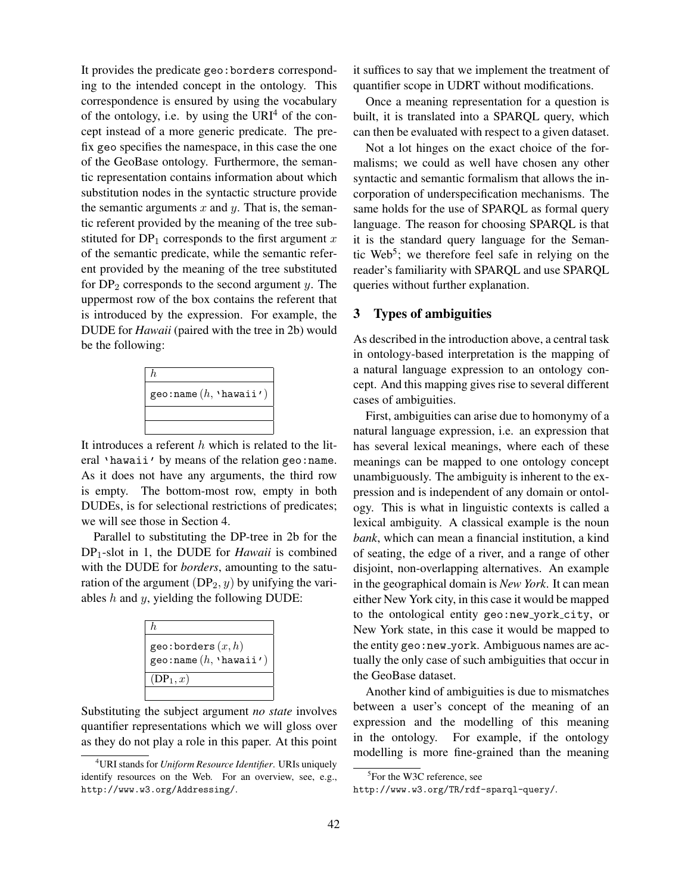It provides the predicate geo:borders corresponding to the intended concept in the ontology. This correspondence is ensured by using the vocabulary of the ontology, i.e. by using the  $\text{URI}^4$  of the concept instead of a more generic predicate. The prefix geo specifies the namespace, in this case the one of the GeoBase ontology. Furthermore, the semantic representation contains information about which substitution nodes in the syntactic structure provide the semantic arguments  $x$  and  $y$ . That is, the semantic referent provided by the meaning of the tree substituted for  $DP_1$  corresponds to the first argument x of the semantic predicate, while the semantic referent provided by the meaning of the tree substituted for  $DP_2$  corresponds to the second argument y. The uppermost row of the box contains the referent that is introduced by the expression. For example, the DUDE for *Hawaii* (paired with the tree in 2b) would be the following:



It introduces a referent  $h$  which is related to the literal 'hawaii' by means of the relation geo:name. As it does not have any arguments, the third row is empty. The bottom-most row, empty in both DUDEs, is for selectional restrictions of predicates; we will see those in Section 4.

Parallel to substituting the DP-tree in 2b for the DP1-slot in 1, the DUDE for *Hawaii* is combined with the DUDE for *borders*, amounting to the saturation of the argument  $(DP_2, y)$  by unifying the variables  $h$  and  $y$ , yielding the following DUDE:

| $h_{\cdot}$                                                |
|------------------------------------------------------------|
| geo: borders $(x, h)$<br>geo: name $(h, \text{ 'hawai'} )$ |
| $(DP_1, x)$                                                |
|                                                            |

Substituting the subject argument *no state* involves quantifier representations which we will gloss over as they do not play a role in this paper. At this point it suffices to say that we implement the treatment of quantifier scope in UDRT without modifications.

Once a meaning representation for a question is built, it is translated into a SPARQL query, which can then be evaluated with respect to a given dataset.

Not a lot hinges on the exact choice of the formalisms; we could as well have chosen any other syntactic and semantic formalism that allows the incorporation of underspecification mechanisms. The same holds for the use of SPARQL as formal query language. The reason for choosing SPARQL is that it is the standard query language for the Semantic Web<sup>5</sup>; we therefore feel safe in relying on the reader's familiarity with SPARQL and use SPARQL queries without further explanation.

### 3 Types of ambiguities

As described in the introduction above, a central task in ontology-based interpretation is the mapping of a natural language expression to an ontology concept. And this mapping gives rise to several different cases of ambiguities.

First, ambiguities can arise due to homonymy of a natural language expression, i.e. an expression that has several lexical meanings, where each of these meanings can be mapped to one ontology concept unambiguously. The ambiguity is inherent to the expression and is independent of any domain or ontology. This is what in linguistic contexts is called a lexical ambiguity. A classical example is the noun *bank*, which can mean a financial institution, a kind of seating, the edge of a river, and a range of other disjoint, non-overlapping alternatives. An example in the geographical domain is *New York*. It can mean either New York city, in this case it would be mapped to the ontological entity geo:new york city, or New York state, in this case it would be mapped to the entity geo:new york. Ambiguous names are actually the only case of such ambiguities that occur in the GeoBase dataset.

Another kind of ambiguities is due to mismatches between a user's concept of the meaning of an expression and the modelling of this meaning in the ontology. For example, if the ontology modelling is more fine-grained than the meaning

<sup>4</sup>URI stands for *Uniform Resource Identifier*. URIs uniquely identify resources on the Web. For an overview, see, e.g., http://www.w3.org/Addressing/.

<sup>5</sup> For the W3C reference, see

http://www.w3.org/TR/rdf-sparql-query/.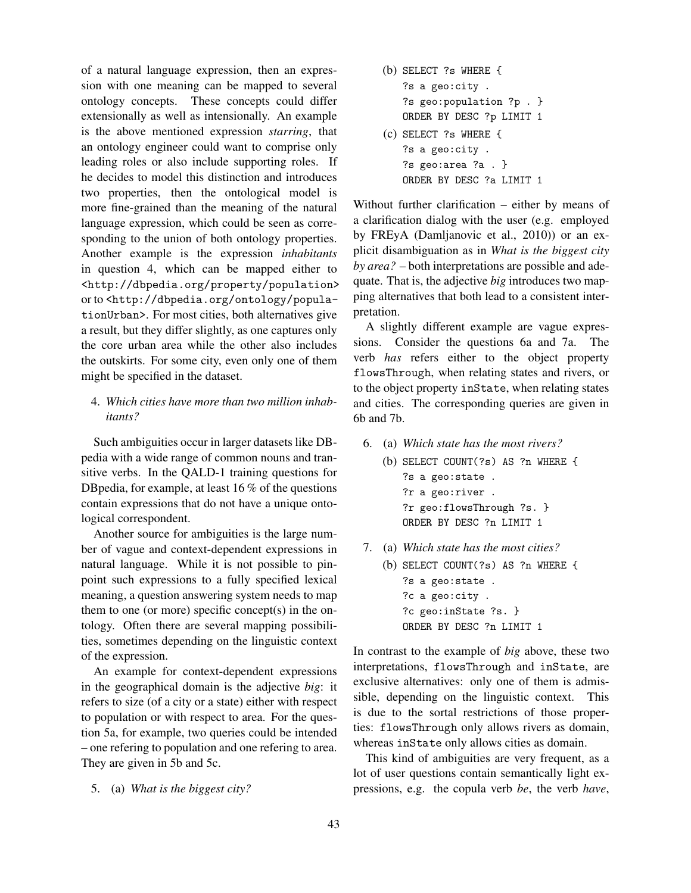of a natural language expression, then an expression with one meaning can be mapped to several ontology concepts. These concepts could differ extensionally as well as intensionally. An example is the above mentioned expression *starring*, that an ontology engineer could want to comprise only leading roles or also include supporting roles. If he decides to model this distinction and introduces two properties, then the ontological model is more fine-grained than the meaning of the natural language expression, which could be seen as corresponding to the union of both ontology properties. Another example is the expression *inhabitants* in question 4, which can be mapped either to <http://dbpedia.org/property/population> or to <http://dbpedia.org/ontology/populationUrban>. For most cities, both alternatives give a result, but they differ slightly, as one captures only the core urban area while the other also includes the outskirts. For some city, even only one of them might be specified in the dataset.

## 4. *Which cities have more than two million inhabitants?*

Such ambiguities occur in larger datasets like DBpedia with a wide range of common nouns and transitive verbs. In the QALD-1 training questions for DBpedia, for example, at least 16 % of the questions contain expressions that do not have a unique ontological correspondent.

Another source for ambiguities is the large number of vague and context-dependent expressions in natural language. While it is not possible to pinpoint such expressions to a fully specified lexical meaning, a question answering system needs to map them to one (or more) specific concept $(s)$  in the ontology. Often there are several mapping possibilities, sometimes depending on the linguistic context of the expression.

An example for context-dependent expressions in the geographical domain is the adjective *big*: it refers to size (of a city or a state) either with respect to population or with respect to area. For the question 5a, for example, two queries could be intended – one refering to population and one refering to area. They are given in 5b and 5c.

5. (a) *What is the biggest city?*

(b) SELECT ?s WHERE { ?s a geo:city . ?s geo:population ?p . } ORDER BY DESC ?p LIMIT 1 (c) SELECT ?s WHERE { ?s a geo:city . ?s geo:area ?a . } ORDER BY DESC ?a LIMIT 1

Without further clarification – either by means of a clarification dialog with the user (e.g. employed by FREyA (Damljanovic et al., 2010)) or an explicit disambiguation as in *What is the biggest city by area?* – both interpretations are possible and adequate. That is, the adjective *big* introduces two mapping alternatives that both lead to a consistent interpretation.

A slightly different example are vague expressions. Consider the questions 6a and 7a. The verb *has* refers either to the object property flowsThrough, when relating states and rivers, or to the object property inState, when relating states and cities. The corresponding queries are given in 6b and 7b.

- 6. (a) *Which state has the most rivers?*
	- (b) SELECT COUNT(?s) AS ?n WHERE { ?s a geo:state . ?r a geo:river . ?r geo:flowsThrough ?s. } ORDER BY DESC ?n LIMIT 1
- 7. (a) *Which state has the most cities?*
	- (b) SELECT COUNT(?s) AS ?n WHERE { ?s a geo:state . ?c a geo:city . ?c geo:inState ?s. } ORDER BY DESC ?n LIMIT 1

In contrast to the example of *big* above, these two interpretations, flowsThrough and inState, are exclusive alternatives: only one of them is admissible, depending on the linguistic context. This is due to the sortal restrictions of those properties: flowsThrough only allows rivers as domain, whereas inState only allows cities as domain.

This kind of ambiguities are very frequent, as a lot of user questions contain semantically light expressions, e.g. the copula verb *be*, the verb *have*,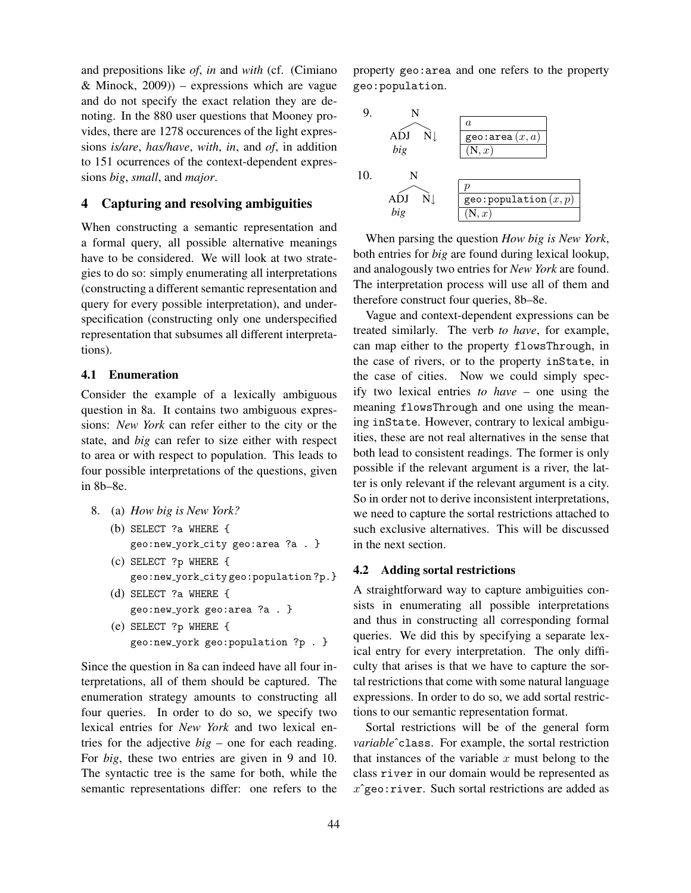and prepositions like *of*, *in* and *with* (cf. (Cimiano & Minock,  $2009$ )) – expressions which are vague and do not specify the exact relation they are denoting. In the 880 user questions that Mooney provides, there are 1278 occurences of the light expressions *is/are*, *has/have*, *with*, *in*, and *of*, in addition to 151 ocurrences of the context-dependent expressions *big*, *small*, and *major*.

# 4 Capturing and resolving ambiguities

When constructing a semantic representation and a formal query, all possible alternative meanings have to be considered. We will look at two strategies to do so: simply enumerating all interpretations (constructing a different semantic representation and query for every possible interpretation), and underspecification (constructing only one underspecified representation that subsumes all different interpretations).

## 4.1 Enumeration

Consider the example of a lexically ambiguous question in 8a. It contains two ambiguous expressions: *New York* can refer either to the city or the state, and *big* can refer to size either with respect to area or with respect to population. This leads to four possible interpretations of the questions, given in 8b–8e.

- 8. (a) *How big is New York?* (b) SELECT ?a WHERE {
	- geo:new york city geo:area ?a . }
	- (c) SELECT ?p WHERE { geo:new york city geo:population ?p.}
	- (d) SELECT ?a WHERE { geo:new york geo:area ?a . } (e) SELECT ?p WHERE {
	- geo:new york geo:population ?p . }

Since the question in 8a can indeed have all four interpretations, all of them should be captured. The enumeration strategy amounts to constructing all four queries. In order to do so, we specify two lexical entries for *New York* and two lexical entries for the adjective *big* – one for each reading. For *big*, these two entries are given in 9 and 10. The syntactic tree is the same for both, while the semantic representations differ: one refers to the property geo:area and one refers to the property geo:population.



When parsing the question *How big is New York*, both entries for *big* are found during lexical lookup, and analogously two entries for *New York* are found. The interpretation process will use all of them and therefore construct four queries, 8b–8e.

Vague and context-dependent expressions can be treated similarly. The verb *to have*, for example, can map either to the property flowsThrough, in the case of rivers, or to the property inState, in the case of cities. Now we could simply specify two lexical entries *to have* – one using the meaning flowsThrough and one using the meaning inState. However, contrary to lexical ambiguities, these are not real alternatives in the sense that both lead to consistent readings. The former is only possible if the relevant argument is a river, the latter is only relevant if the relevant argument is a city. So in order not to derive inconsistent interpretations, we need to capture the sortal restrictions attached to such exclusive alternatives. This will be discussed in the next section.

#### 4.2 Adding sortal restrictions

A straightforward way to capture ambiguities consists in enumerating all possible interpretations and thus in constructing all corresponding formal queries. We did this by specifying a separate lexical entry for every interpretation. The only difficulty that arises is that we have to capture the sortal restrictions that come with some natural language expressions. In order to do so, we add sortal restrictions to our semantic representation format.

Sortal restrictions will be of the general form *variable*ˆclass. For example, the sortal restriction that instances of the variable  $x$  must belong to the class river in our domain would be represented as  $x \hat{\ }$ geo: river. Such sortal restrictions are added as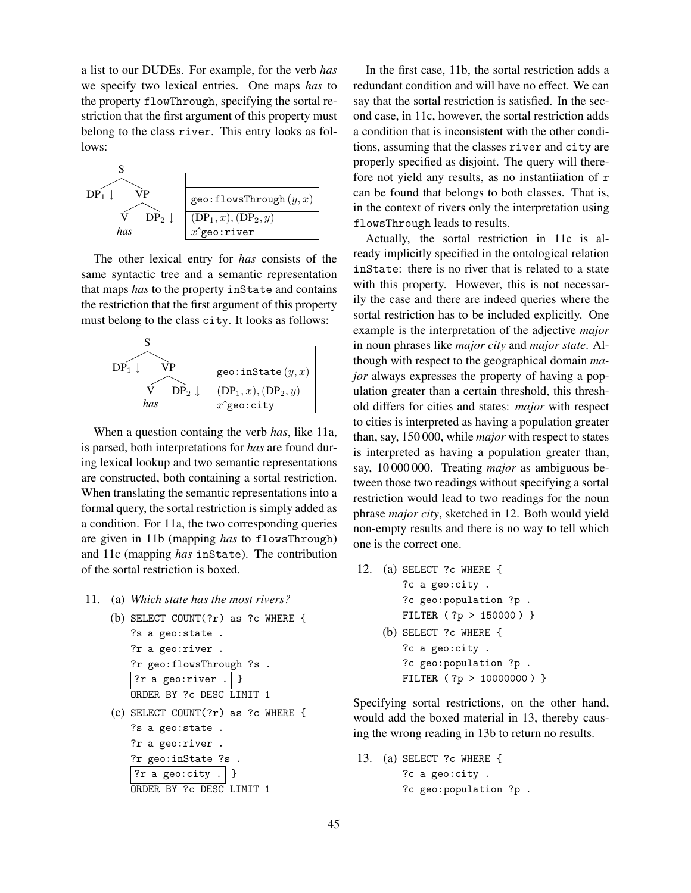a list to our DUDEs. For example, for the verb *has* we specify two lexical entries. One maps *has* to the property flowThrough, specifying the sortal restriction that the first argument of this property must belong to the class river. This entry looks as follows:



The other lexical entry for *has* consists of the same syntactic tree and a semantic representation that maps *has* to the property inState and contains the restriction that the first argument of this property must belong to the class city. It looks as follows:



When a question containg the verb *has*, like 11a, is parsed, both interpretations for *has* are found during lexical lookup and two semantic representations are constructed, both containing a sortal restriction. When translating the semantic representations into a formal query, the sortal restriction is simply added as a condition. For 11a, the two corresponding queries are given in 11b (mapping *has* to flowsThrough) and 11c (mapping *has* inState). The contribution of the sortal restriction is boxed.

11. (a) *Which state has the most rivers?*

```
(b) SELECT COUNT(?r) as ?c WHERE {
   ?s a geo:state .
   ?r a geo:river .
   ?r geo:flowsThrough ?s .
    ?r a geo:river . | }
   ORDER BY ?c DESC LIMIT 1
(c) SELECT COUNT(?r) as ?c WHERE {
   ?s a geo:state .
   ?r a geo:river .
```

```
?r geo:inState ?s .
?r a geo:city . \vert \}ORDER BY ?c DESC LIMIT 1
```
In the first case, 11b, the sortal restriction adds a redundant condition and will have no effect. We can say that the sortal restriction is satisfied. In the second case, in 11c, however, the sortal restriction adds a condition that is inconsistent with the other conditions, assuming that the classes river and city are properly specified as disjoint. The query will therefore not yield any results, as no instantiiation of r can be found that belongs to both classes. That is, in the context of rivers only the interpretation using flowsThrough leads to results.

Actually, the sortal restriction in 11c is already implicitly specified in the ontological relation inState: there is no river that is related to a state with this property. However, this is not necessarily the case and there are indeed queries where the sortal restriction has to be included explicitly. One example is the interpretation of the adjective *major* in noun phrases like *major city* and *major state*. Although with respect to the geographical domain *major* always expresses the property of having a population greater than a certain threshold, this threshold differs for cities and states: *major* with respect to cities is interpreted as having a population greater than, say, 150 000, while *major* with respect to states is interpreted as having a population greater than, say, 10 000 000. Treating *major* as ambiguous between those two readings without specifying a sortal restriction would lead to two readings for the noun phrase *major city*, sketched in 12. Both would yield non-empty results and there is no way to tell which one is the correct one.

12. (a) SELECT ?c WHERE { ?c a geo:city . ?c geo:population ?p . FILTER ( ?p > 150000 ) } (b) SELECT ?c WHERE { ?c a geo:city . ?c geo:population ?p . FILTER ( ?p > 10000000 ) }

Specifying sortal restrictions, on the other hand, would add the boxed material in 13, thereby causing the wrong reading in 13b to return no results.

13. (a) SELECT ?c WHERE { ?c a geo:city . ?c geo:population ?p .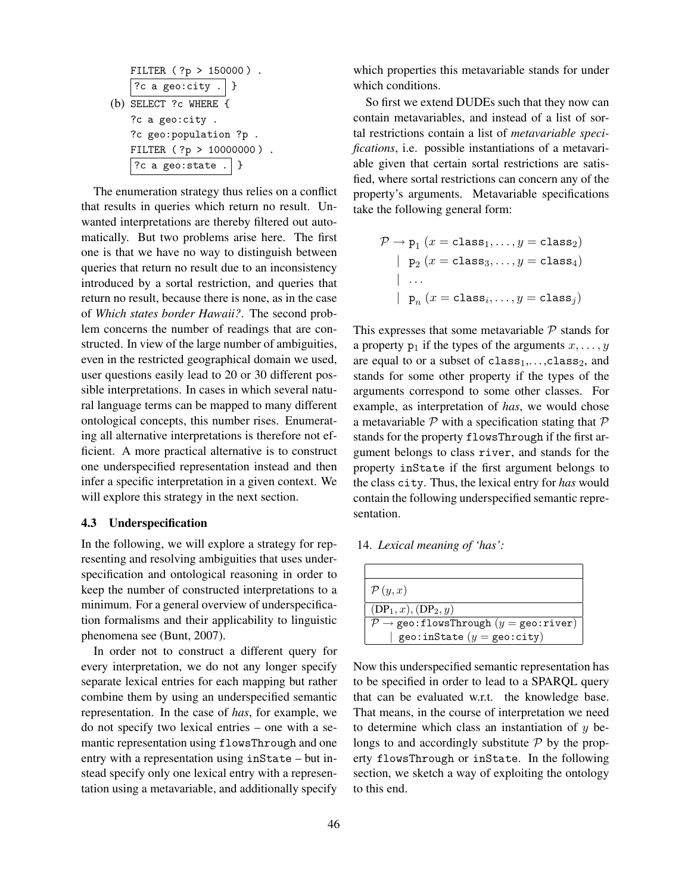|  | FILTER $(?p > 150000)$ .<br>$\boxed{?}$ c a geo:city .   } |  |  |  |  |
|--|------------------------------------------------------------|--|--|--|--|
|  |                                                            |  |  |  |  |
|  | (b) SELECT $?c$ WHERE {                                    |  |  |  |  |
|  | ?c a geo:city.                                             |  |  |  |  |
|  | ?c geo:population ?p.                                      |  |  |  |  |
|  | FILTER (?p > 10000000).                                    |  |  |  |  |
|  | $ ?c$ a geo:state . $  \}$                                 |  |  |  |  |

The enumeration strategy thus relies on a conflict that results in queries which return no result. Unwanted interpretations are thereby filtered out automatically. But two problems arise here. The first one is that we have no way to distinguish between queries that return no result due to an inconsistency introduced by a sortal restriction, and queries that return no result, because there is none, as in the case of *Which states border Hawaii?*. The second problem concerns the number of readings that are constructed. In view of the large number of ambiguities, even in the restricted geographical domain we used, user questions easily lead to 20 or 30 different possible interpretations. In cases in which several natural language terms can be mapped to many different ontological concepts, this number rises. Enumerating all alternative interpretations is therefore not efficient. A more practical alternative is to construct one underspecified representation instead and then infer a specific interpretation in a given context. We will explore this strategy in the next section.

#### 4.3 Underspecification

In the following, we will explore a strategy for representing and resolving ambiguities that uses underspecification and ontological reasoning in order to keep the number of constructed interpretations to a minimum. For a general overview of underspecification formalisms and their applicability to linguistic phenomena see (Bunt, 2007).

In order not to construct a different query for every interpretation, we do not any longer specify separate lexical entries for each mapping but rather combine them by using an underspecified semantic representation. In the case of *has*, for example, we do not specify two lexical entries – one with a semantic representation using flowsThrough and one entry with a representation using inState – but instead specify only one lexical entry with a representation using a metavariable, and additionally specify

which properties this metavariable stands for under which conditions.

So first we extend DUDEs such that they now can contain metavariables, and instead of a list of sortal restrictions contain a list of *metavariable specifications*, i.e. possible instantiations of a metavariable given that certain sortal restrictions are satisfied, where sortal restrictions can concern any of the property's arguments. Metavariable specifications take the following general form:

$$
\mathcal{P} \rightarrow \mathbf{p}_1 \ (x = \texttt{class}_1, \dots, y = \texttt{class}_2) \\ \mid \ \mathbf{p}_2 \ (x = \texttt{class}_3, \dots, y = \texttt{class}_4) \\ \mid \ \dots \\ \mid \ \mathbf{p}_n \ (x = \texttt{class}_i, \dots, y = \texttt{class}_j)
$$

This expresses that some metavariable  $P$  stands for a property  $p_1$  if the types of the arguments  $x, \ldots, y$ are equal to or a subset of  $class_1, \ldots, class_2$ , and stands for some other property if the types of the arguments correspond to some other classes. For example, as interpretation of *has*, we would chose a metavariable  $P$  with a specification stating that  $P$ stands for the property flowsThrough if the first argument belongs to class river, and stands for the property inState if the first argument belongs to the class city. Thus, the lexical entry for *has* would contain the following underspecified semantic representation.

14. *Lexical meaning of 'has':*

| $\mathcal{P}(y,x)$                                                          |  |  |
|-----------------------------------------------------------------------------|--|--|
| $(DP_1, x), (DP_2, y)$                                                      |  |  |
| $\mathcal{P} \rightarrow \texttt{geo:flowsThrough}(y = \texttt{geo:river})$ |  |  |
| geo: inState $(y = \text{geo:city})$                                        |  |  |

Now this underspecified semantic representation has to be specified in order to lead to a SPARQL query that can be evaluated w.r.t. the knowledge base. That means, in the course of interpretation we need to determine which class an instantiation of  $y$  belongs to and accordingly substitute  $P$  by the property flowsThrough or inState. In the following section, we sketch a way of exploiting the ontology to this end.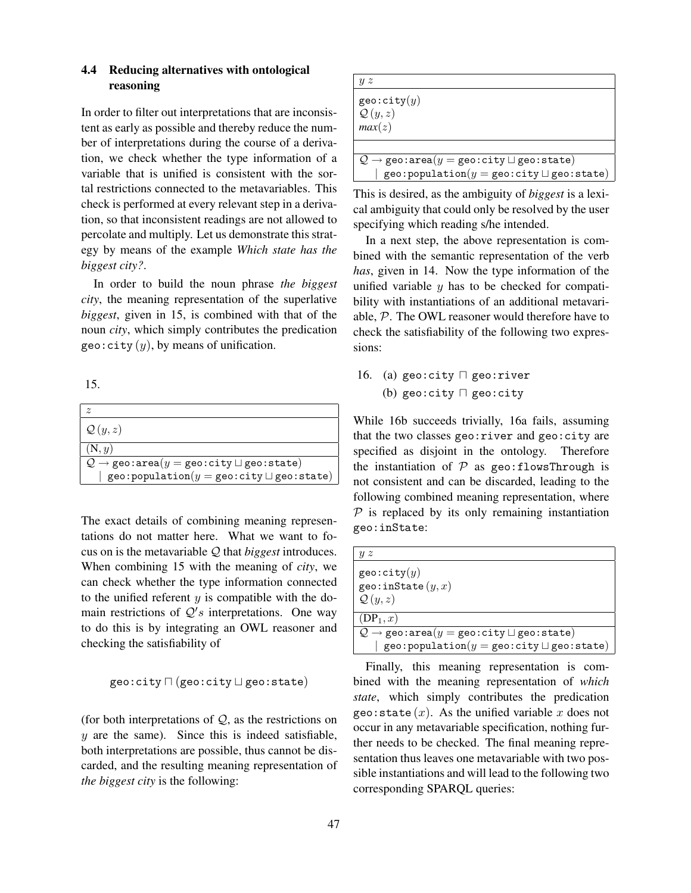# 4.4 Reducing alternatives with ontological reasoning

In order to filter out interpretations that are inconsistent as early as possible and thereby reduce the number of interpretations during the course of a derivation, we check whether the type information of a variable that is unified is consistent with the sortal restrictions connected to the metavariables. This check is performed at every relevant step in a derivation, so that inconsistent readings are not allowed to percolate and multiply. Let us demonstrate this strategy by means of the example *Which state has the biggest city?*.

In order to build the noun phrase *the biggest city*, the meaning representation of the superlative *biggest*, given in 15, is combined with that of the noun *city*, which simply contributes the predication geo:city  $(y)$ , by means of unification.

15.

| $\tilde{z}$                                                                                  |
|----------------------------------------------------------------------------------------------|
| $\mathcal{Q}(y,z)$                                                                           |
| (N, y)                                                                                       |
| $\mathcal{Q} \rightarrow \texttt{geo:area}(y = \texttt{geo:city} \sqcup \texttt{geo:state})$ |
| geo: population $(y = \text{geo:city} \sqcup \text{geo:state})$                              |

The exact details of combining meaning representations do not matter here. What we want to focus on is the metavariable Q that *biggest* introduces. When combining 15 with the meaning of *city*, we can check whether the type information connected to the unified referent  $y$  is compatible with the domain restrictions of  $Q's$  interpretations. One way to do this is by integrating an OWL reasoner and checking the satisfiability of

$$
\texttt{geo:city} \sqcap (\texttt{geo:city} \sqcup \texttt{geo:state})
$$

(for both interpretations of  $Q$ , as the restrictions on  $y$  are the same). Since this is indeed satisfiable, both interpretations are possible, thus cannot be discarded, and the resulting meaning representation of *the biggest city* is the following:

| иz                                                                                           |
|----------------------------------------------------------------------------------------------|
| $geo:$ city $(y)$                                                                            |
| $\mathcal{Q}(y,z)$                                                                           |
| max(z)                                                                                       |
|                                                                                              |
|                                                                                              |
| $\mathcal{Q} \rightarrow \texttt{geo:area}(y = \texttt{geo:city} \sqcup \texttt{geo:state})$ |
| $\mathtt{geo:population}(y = \mathtt{geo:city} \sqcup \mathtt{geo:state})$                   |

This is desired, as the ambiguity of *biggest* is a lexical ambiguity that could only be resolved by the user specifying which reading s/he intended.

In a next step, the above representation is combined with the semantic representation of the verb *has*, given in 14. Now the type information of the unified variable  $y$  has to be checked for compatibility with instantiations of an additional metavariable, P. The OWL reasoner would therefore have to check the satisfiability of the following two expressions:

16. (a) geo:city  $\sqcap$  geo:river (b) geo:city  $\Box$  geo:city

While 16b succeeds trivially, 16a fails, assuming that the two classes geo:river and geo:city are specified as disjoint in the ontology. Therefore the instantiation of  $P$  as geo: flowsThrough is not consistent and can be discarded, leading to the following combined meaning representation, where  $P$  is replaced by its only remaining instantiation geo:inState:

| иz                                                                                                                                                                   |
|----------------------------------------------------------------------------------------------------------------------------------------------------------------------|
| geo:city(y)<br>geo: inState $(y, x)$<br>$\mathcal{Q}(y,z)$                                                                                                           |
| $(DP_1, x)$                                                                                                                                                          |
| $\mathcal{Q} \rightarrow \texttt{geo:area}(y = \texttt{geo:city} \sqcup \texttt{geo:state})$<br>geo: population( $y = \texttt{geo:city} \sqcup \texttt{geo:state}$ ) |

Finally, this meaning representation is combined with the meaning representation of *which state*, which simply contributes the predication geo: state  $(x)$ . As the unified variable x does not occur in any metavariable specification, nothing further needs to be checked. The final meaning representation thus leaves one metavariable with two possible instantiations and will lead to the following two corresponding SPARQL queries: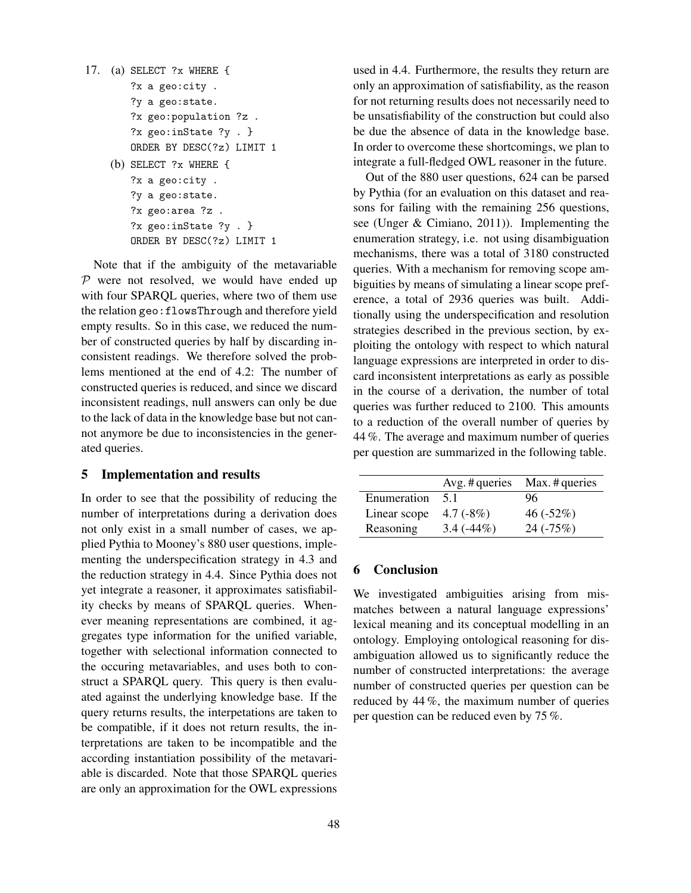```
17. (a) SELECT ?x WHERE {
        ?x a geo:city .
        ?y a geo:state.
        ?x geo:population ?z .
        ?x geo:inState ?y . }
        ORDER BY DESC(?z) LIMIT 1
    (b) SELECT ?x WHERE {
        ?x a geo:city .
        ?y a geo:state.
        ?x geo:area ?z .
        ?x geo:inState ?y . }
        ORDER BY DESC(?z) LIMIT 1
```
Note that if the ambiguity of the metavariable  $P$  were not resolved, we would have ended up with four SPARQL queries, where two of them use the relation geo:flowsThrough and therefore yield empty results. So in this case, we reduced the number of constructed queries by half by discarding inconsistent readings. We therefore solved the problems mentioned at the end of 4.2: The number of constructed queries is reduced, and since we discard inconsistent readings, null answers can only be due to the lack of data in the knowledge base but not cannot anymore be due to inconsistencies in the generated queries.

#### 5 Implementation and results

In order to see that the possibility of reducing the number of interpretations during a derivation does not only exist in a small number of cases, we applied Pythia to Mooney's 880 user questions, implementing the underspecification strategy in 4.3 and the reduction strategy in 4.4. Since Pythia does not yet integrate a reasoner, it approximates satisfiability checks by means of SPARQL queries. Whenever meaning representations are combined, it aggregates type information for the unified variable, together with selectional information connected to the occuring metavariables, and uses both to construct a SPARQL query. This query is then evaluated against the underlying knowledge base. If the query returns results, the interpetations are taken to be compatible, if it does not return results, the interpretations are taken to be incompatible and the according instantiation possibility of the metavariable is discarded. Note that those SPARQL queries are only an approximation for the OWL expressions used in 4.4. Furthermore, the results they return are only an approximation of satisfiability, as the reason for not returning results does not necessarily need to be unsatisfiability of the construction but could also be due the absence of data in the knowledge base. In order to overcome these shortcomings, we plan to integrate a full-fledged OWL reasoner in the future.

Out of the 880 user questions, 624 can be parsed by Pythia (for an evaluation on this dataset and reasons for failing with the remaining 256 questions, see (Unger & Cimiano, 2011)). Implementing the enumeration strategy, i.e. not using disambiguation mechanisms, there was a total of 3180 constructed queries. With a mechanism for removing scope ambiguities by means of simulating a linear scope preference, a total of 2936 queries was built. Additionally using the underspecification and resolution strategies described in the previous section, by exploiting the ontology with respect to which natural language expressions are interpreted in order to discard inconsistent interpretations as early as possible in the course of a derivation, the number of total queries was further reduced to 2100. This amounts to a reduction of the overall number of queries by 44 %. The average and maximum number of queries per question are summarized in the following table.

|              |             | $Avg.$ # queries $Max.$ # queries |
|--------------|-------------|-----------------------------------|
| Enumeration  | 51          | 96                                |
| Linear scope | 4.7 $(-8%)$ | $46(-52%)$                        |
| Reasoning    | $3.4(-44%)$ | $24(-75%)$                        |

# 6 Conclusion

We investigated ambiguities arising from mismatches between a natural language expressions' lexical meaning and its conceptual modelling in an ontology. Employing ontological reasoning for disambiguation allowed us to significantly reduce the number of constructed interpretations: the average number of constructed queries per question can be reduced by 44 %, the maximum number of queries per question can be reduced even by 75 %.